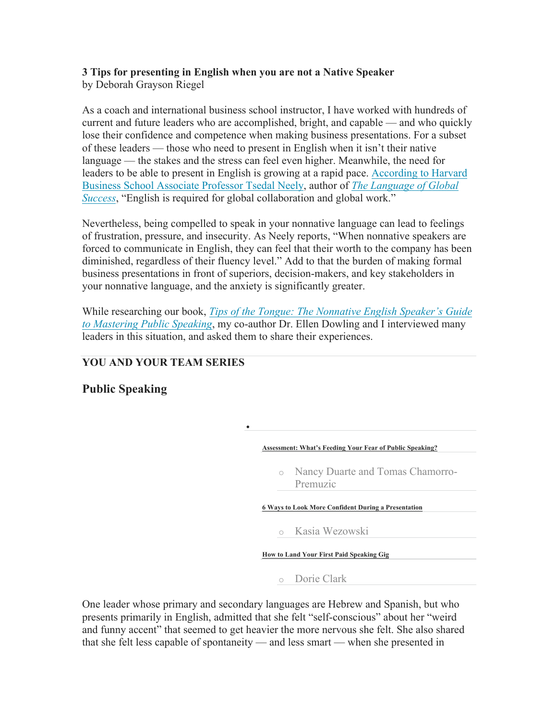## **3 Tips for presenting in English when you are not a Native Speaker**  by Deborah Grayson Riegel

As a coach and international business school instructor, I have worked with hundreds of current and future leaders who are accomplished, bright, and capable — and who quickly lose their confidence and competence when making business presentations. For a subset of these leaders — those who need to present in English when it isn't their native language — the stakes and the stress can feel even higher. Meanwhile, the need for leaders to be able to present in English is growing at a rapid pace. [According to Harvard](http://knowledge.wharton.upenn.edu/article/do-global-firms-need-a-common-language/) [Business School Associate Professor Tsedal Neely](http://knowledge.wharton.upenn.edu/article/do-global-firms-need-a-common-language/), author of *[The Language of Global](https://www.amazon.com/Language-Global-Success-Multinational-Organizations/dp/0691175373) [Success](https://www.amazon.com/Language-Global-Success-Multinational-Organizations/dp/0691175373)*, "English is required for global collaboration and global work."

Nevertheless, being compelled to speak in your nonnative language can lead to feelings of frustration, pressure, and insecurity. As Neely reports, "When nonnative speakers are forced to communicate in English, they can feel that their worth to the company has been diminished, regardless of their fluency level." Add to that the burden of making formal business presentations in front of superiors, decision-makers, and key stakeholders in your nonnative language, and the anxiety is significantly greater.

While researching our book, *[Tips of the Tongue: The Nonnative English Speaker's Guide](https://www.amazon.com/Tips-Tongue-Nonnative-Speakers-Mastering/dp/1941870880) [to Mastering Public Speaking](https://www.amazon.com/Tips-Tongue-Nonnative-Speakers-Mastering/dp/1941870880)*, my co-author Dr. Ellen Dowling and I interviewed many leaders in this situation, and asked them to share their experiences.

•

## **YOU AND YOUR TEAM SERIES**

## **Public Speaking**

**[Assessment: What's Feeding Your Fear of Public Speaking?](https://hbr.org/2016/11/assessment-whats-feeding-your-fear-of-public-speaking)**

o Nancy Duarte and Tomas Chamorro-Premuzic

**[6 Ways to Look More Confident During a Presentation](https://hbr.org/2017/04/6-ways-to-look-more-confident-during-a-presentation)**

o Kasia Wezowski

**[How to Land Your First Paid Speaking Gig](https://hbr.org/2017/11/how-to-land-your-first-paid-speaking-gig)**

o Dorie Clark

One leader whose primary and secondary languages are Hebrew and Spanish, but who presents primarily in English, admitted that she felt "self-conscious" about her "weird and funny accent" that seemed to get heavier the more nervous she felt. She also shared that she felt less capable of spontaneity — and less smart — when she presented in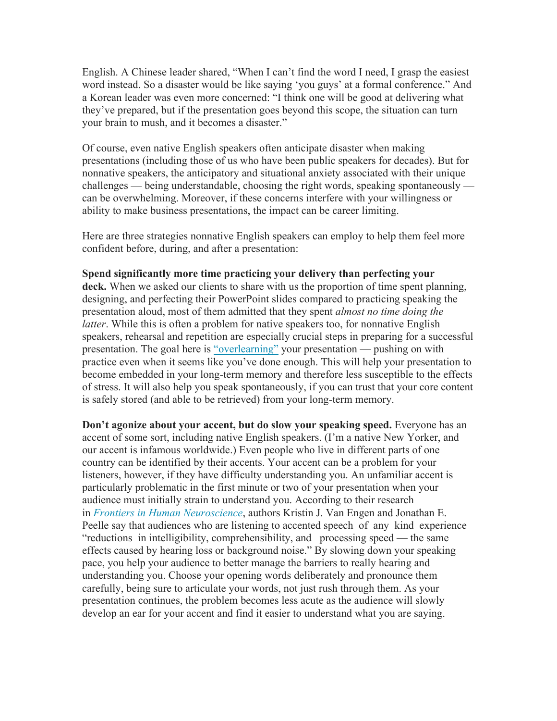English. A Chinese leader shared, "When I can't find the word I need, I grasp the easiest word instead. So a disaster would be like saying 'you guys' at a formal conference." And a Korean leader was even more concerned: "I think one will be good at delivering what they've prepared, but if the presentation goes beyond this scope, the situation can turn your brain to mush, and it becomes a disaster."

Of course, even native English speakers often anticipate disaster when making presentations (including those of us who have been public speakers for decades). But for nonnative speakers, the anticipatory and situational anxiety associated with their unique challenges — being understandable, choosing the right words, speaking spontaneously can be overwhelming. Moreover, if these concerns interfere with your willingness or ability to make business presentations, the impact can be career limiting.

Here are three strategies nonnative English speakers can employ to help them feel more confident before, during, and after a presentation:

## **Spend significantly more time practicing your delivery than perfecting your**

**deck.** When we asked our clients to share with us the proportion of time spent planning, designing, and perfecting their PowerPoint slides compared to practicing speaking the presentation aloud, most of them admitted that they spent *almost no time doing the latter*. While this is often a problem for native speakers too, for nonnative English speakers, rehearsal and repetition are especially crucial steps in preparing for a successful presentation. The goal here is ["overlearning"](https://www.scientificamerican.com/article/the-power-of-overlearning/) your presentation — pushing on with practice even when it seems like you've done enough. This will help your presentation to become embedded in your long-term memory and therefore less susceptible to the effects of stress. It will also help you speak spontaneously, if you can trust that your core content is safely stored (and able to be retrieved) from your long-term memory.

**Don't agonize about your accent, but do slow your speaking speed.** Everyone has an accent of some sort, including native English speakers. (I'm a native New Yorker, and our accent is infamous worldwide.) Even people who live in different parts of one country can be identified by their accents. Your accent can be a problem for your listeners, however, if they have difficulty understanding you. An unfamiliar accent is particularly problematic in the first minute or two of your presentation when your audience must initially strain to understand you. According to their research in *Frontiers [in Human Neuroscience](https://www.frontiersin.org/articles/10.3389/fnhum.2014.00577/full)*, authors Kristin J. Van Engen and Jonathan E. Peelle say that audiences who are listening to accented speech of any kind experience "reductions in intelligibility, comprehensibility, and processing speed — the same effects caused by hearing loss or background noise." By slowing down your speaking pace, you help your audience to better manage the barriers to really hearing and understanding you. Choose your opening words deliberately and pronounce them carefully, being sure to articulate your words, not just rush through them. As your presentation continues, the problem becomes less acute as the audience will slowly develop an ear for your accent and find it easier to understand what you are saying.